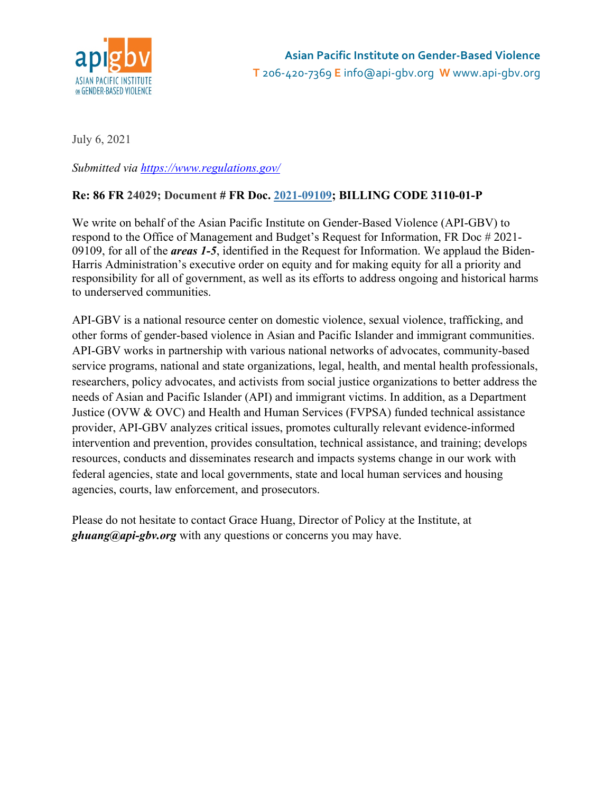

July 6, 2021

*Submitted via <https://www.regulations.gov/>*

### **Re: 86 FR 24029; Document # FR Doc. [2021-09109;](https://www.federalregister.gov/a/2021-09109) BILLING CODE 3110-01-P**

We write on behalf of the Asian Pacific Institute on Gender-Based Violence (API-GBV) to respond to the Office of Management and Budget's Request for Information, FR Doc # 2021- 09109, for all of the *areas 1-5*, identified in the Request for Information. We applaud the Biden-Harris Administration's executive order on equity and for making equity for all a priority and responsibility for all of government, as well as its efforts to address ongoing and historical harms to underserved communities.

API-GBV is a national resource center on domestic violence, sexual violence, trafficking, and other forms of gender-based violence in Asian and Pacific Islander and immigrant communities. API-GBV works in partnership with various national networks of advocates, community-based service programs, national and state organizations, legal, health, and mental health professionals, researchers, policy advocates, and activists from social justice organizations to better address the needs of Asian and Pacific Islander (API) and immigrant victims. In addition, as a Department Justice (OVW & OVC) and Health and Human Services (FVPSA) funded technical assistance provider, API-GBV analyzes critical issues, promotes culturally relevant evidence-informed intervention and prevention, provides consultation, technical assistance, and training; develops resources, conducts and disseminates research and impacts systems change in our work with federal agencies, state and local governments, state and local human services and housing agencies, courts, law enforcement, and prosecutors.

Please do not hesitate to contact Grace Huang, Director of Policy at the Institute, at *ghuang@api-gbv.org* with any questions or concerns you may have.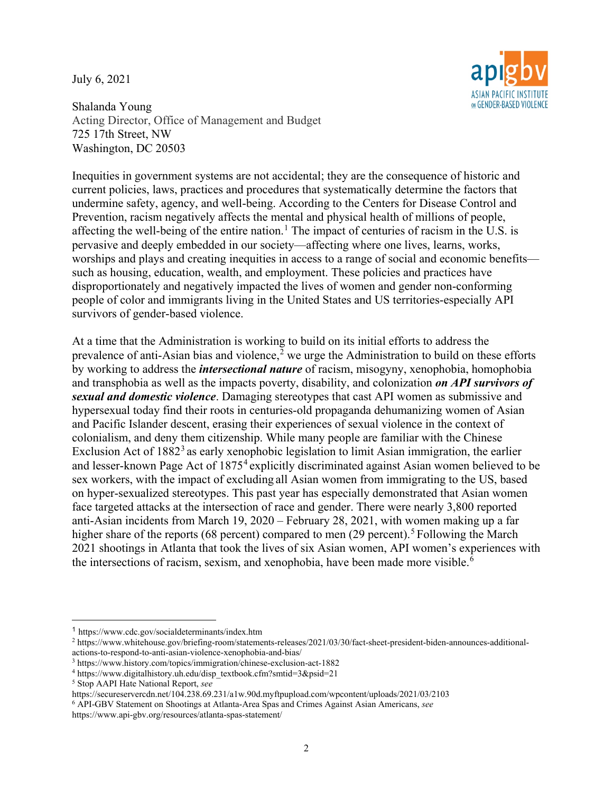July 6, 2021



Shalanda Young Acting Director, Office of Management and Budget 725 17th Street, NW Washington, DC 20503

Inequities in government systems are not accidental; they are the consequence of historic and current policies, laws, practices and procedures that systematically determine the factors that undermine safety, agency, and well-being. According to the Centers for Disease Control and Prevention, racism negatively affects the mental and physical health of millions of people, affecting the well-being of the entire nation.<sup>[1](#page-1-0)</sup> The impact of centuries of racism in the U.S. is pervasive and deeply embedded in our society—affecting where one lives, learns, works, worships and plays and creating inequities in access to a range of social and economic benefits such as housing, education, wealth, and employment. These policies and practices have disproportionately and negatively impacted the lives of women and gender non-conforming people of color and immigrants living in the United States and US territories-especially API survivors of gender-based violence.

At a time that the Administration is working to build on its initial efforts to address the prevalence of anti-Asian bias and violence,<sup>[2](#page-1-1)</sup> we urge the Administration to build on these efforts by working to address the *intersectional nature* of racism, misogyny, xenophobia, homophobia and transphobia as well as the impacts poverty, disability, and colonization *on API survivors of sexual and domestic violence*. Damaging stereotypes that cast API women as submissive and hypersexual today find their roots in centuries-old propaganda dehumanizing women of Asian and Pacific Islander descent, erasing their experiences of sexual violence in the context of colonialism, and deny them citizenship. While many people are familiar with the Chinese Exclusion Act of  $1882<sup>3</sup>$  $1882<sup>3</sup>$  $1882<sup>3</sup>$  as early xenophobic legislation to limit Asian immigration, the earlier and lesser-known Page Act of 1875<sup>[4](#page-1-3)</sup> explicitly discriminated against Asian women believed to be sex workers, with the impact of excluding all Asian women from immigrating to the US, based on hyper-sexualized stereotypes. This past year has especially demonstrated that Asian women face targeted attacks at the intersection of race and gender. There were nearly 3,800 reported anti-Asian incidents from March 19, 2020 – February 28, 2021, with women making up a far higher share of the reports (68 percent) compared to men (29 percent).<sup>[5](#page-1-4)</sup> Following the March 2021 shootings in Atlanta that took the lives of six Asian women, API women's experiences with the intersections of racism, sexism, and xenophobia, have been made more visible.<sup>[6](#page-1-5)</sup>

 $\overline{a}$ 

<span id="page-1-5"></span><sup>6</sup> API-GBV Statement on Shootings at Atlanta-Area Spas and Crimes Against Asian Americans, *see*

<span id="page-1-0"></span><sup>1</sup> https://www.cdc.gov/socialdeterminants/index.htm

<span id="page-1-1"></span><sup>2</sup> https://www.whitehouse.gov/briefing-room/statements-releases/2021/03/30/fact-sheet-president-biden-announces-additionalactions-to-respond-to-anti-asian-violence-xenophobia-and-bias/

<span id="page-1-2"></span><sup>3</sup> https://www.history.com/topics/immigration/chinese-exclusion-act-1882

<span id="page-1-3"></span><sup>4</sup> https://www.digitalhistory.uh.edu/disp\_textbook.cfm?smtid=3&psid=21

<span id="page-1-4"></span><sup>5</sup> Stop AAPI Hate National Report, *see*

https://secureservercdn.net/104.238.69.231/a1w.90d.myftpupload.com/wpcontent/uploads/2021/03/2103

https://www.api-gbv.org/resources/atlanta-spas-statement/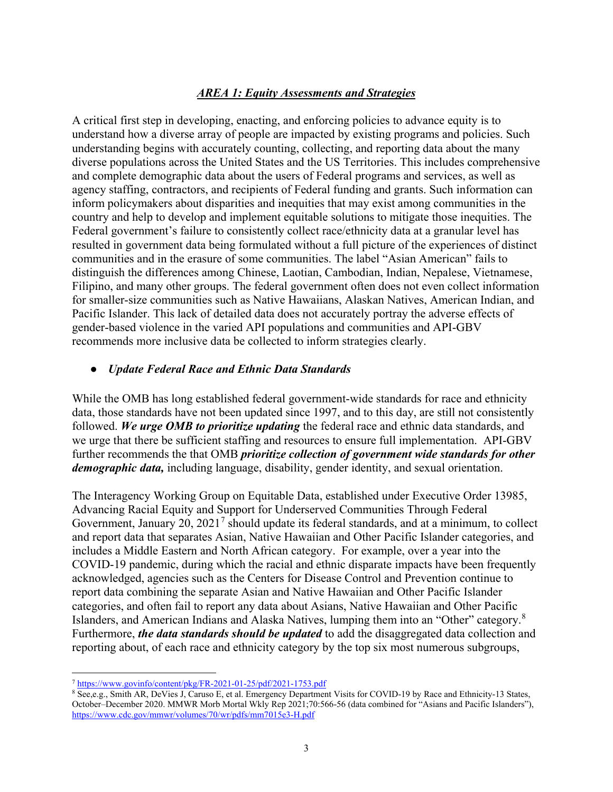#### *AREA 1: Equity Assessments and Strategies*

A critical first step in developing, enacting, and enforcing policies to advance equity is to understand how a diverse array of people are impacted by existing programs and policies. Such understanding begins with accurately counting, collecting, and reporting data about the many diverse populations across the United States and the US Territories. This includes comprehensive and complete demographic data about the users of Federal programs and services, as well as agency staffing, contractors, and recipients of Federal funding and grants. Such information can inform policymakers about disparities and inequities that may exist among communities in the country and help to develop and implement equitable solutions to mitigate those inequities. The Federal government's failure to consistently collect race/ethnicity data at a granular level has resulted in government data being formulated without a full picture of the experiences of distinct communities and in the erasure of some communities. The label "Asian American" fails to distinguish the differences among Chinese, Laotian, Cambodian, Indian, Nepalese, Vietnamese, Filipino, and many other groups. The federal government often does not even collect information for smaller-size communities such as Native Hawaiians, Alaskan Natives, American Indian, and Pacific Islander. This lack of detailed data does not accurately portray the adverse effects of gender-based violence in the varied API populations and communities and API-GBV recommends more inclusive data be collected to inform strategies clearly.

#### ● *Update Federal Race and Ethnic Data Standards*

While the OMB has long established federal government-wide standards for race and ethnicity data, those standards have not been updated since 1997, and to this day, are still not consistently followed. *We urge OMB to prioritize updating* the federal race and ethnic data standards, and we urge that there be sufficient staffing and resources to ensure full implementation. API-GBV further recommends the that OMB *prioritize collection of government wide standards for other demographic data,* including language, disability, gender identity, and sexual orientation.

The Interagency Working Group on Equitable Data, established under Executive Order 13985, Advancing Racial Equity and Support for Underserved Communities Through Federal Government, January 20,  $2021<sup>7</sup>$  $2021<sup>7</sup>$  $2021<sup>7</sup>$  should update its federal standards, and at a minimum, to collect and report data that separates Asian, Native Hawaiian and Other Pacific Islander categories, and includes a Middle Eastern and North African category. For example, over a year into the COVID-19 pandemic, during which the racial and ethnic disparate impacts have been frequently acknowledged, agencies such as the Centers for Disease Control and Prevention continue to report data combining the separate Asian and Native Hawaiian and Other Pacific Islander categories, and often fail to report any data about Asians, Native Hawaiian and Other Pacific Islanders, and American Indians and Alaska Natives, lumping them into an "Other" category.<sup>[8](#page-2-1)</sup> Furthermore, *the data standards should be updated* to add the disaggregated data collection and reporting about, of each race and ethnicity category by the top six most numerous subgroups,

<span id="page-2-0"></span> <sup>7</sup> <https://www.govinfo/content/pkg/FR-2021-01-25/pdf/2021-1753.pdf>

<span id="page-2-1"></span><sup>&</sup>lt;sup>8</sup> See,e.g., Smith AR, DeVies J, Caruso E, et al. Emergency Department Visits for COVID-19 by Race and Ethnicity-13 States, October–December 2020. MMWR Morb Mortal Wkly Rep 2021;70:566-56 (data combined for "Asians and Pacific Islanders"), <https://www.cdc.gov/mmwr/volumes/70/wr/pdfs/mm7015e3-H.pdf>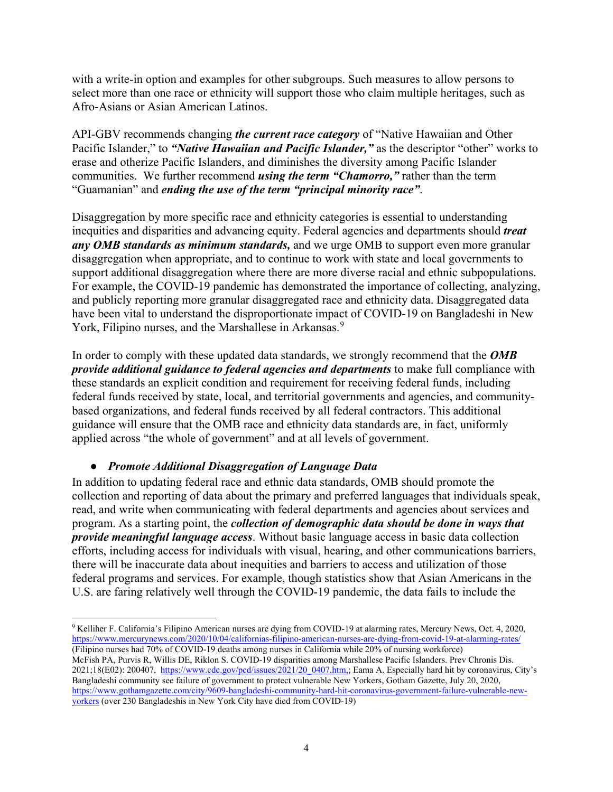with a write-in option and examples for other subgroups. Such measures to allow persons to select more than one race or ethnicity will support those who claim multiple heritages, such as Afro-Asians or Asian American Latinos.

API-GBV recommends changing *the current race category* of "Native Hawaiian and Other Pacific Islander," to *"Native Hawaiian and Pacific Islander,"* as the descriptor "other" works to erase and otherize Pacific Islanders, and diminishes the diversity among Pacific Islander communities. We further recommend *using the term "Chamorro,"* rather than the term "Guamanian" and *ending the use of the term "principal minority race"*.

Disaggregation by more specific race and ethnicity categories is essential to understanding inequities and disparities and advancing equity. Federal agencies and departments should *treat any OMB standards as minimum standards,* and we urge OMB to support even more granular disaggregation when appropriate, and to continue to work with state and local governments to support additional disaggregation where there are more diverse racial and ethnic subpopulations. For example, the COVID-19 pandemic has demonstrated the importance of collecting, analyzing, and publicly reporting more granular disaggregated race and ethnicity data. Disaggregated data have been vital to understand the disproportionate impact of COVID-19 on Bangladeshi in New York, Filipino nurses, and the Marshallese in Arkansas.<sup>[9](#page-3-0)</sup>

In order to comply with these updated data standards, we strongly recommend that the *OMB provide additional guidance to federal agencies and departments* to make full compliance with these standards an explicit condition and requirement for receiving federal funds, including federal funds received by state, local, and territorial governments and agencies, and communitybased organizations, and federal funds received by all federal contractors. This additional guidance will ensure that the OMB race and ethnicity data standards are, in fact, uniformly applied across "the whole of government" and at all levels of government.

#### ● *Promote Additional Disaggregation of Language Data*

In addition to updating federal race and ethnic data standards, OMB should promote the collection and reporting of data about the primary and preferred languages that individuals speak, read, and write when communicating with federal departments and agencies about services and program. As a starting point, the *collection of demographic data should be done in ways that provide meaningful language access*. Without basic language access in basic data collection efforts, including access for individuals with visual, hearing, and other communications barriers, there will be inaccurate data about inequities and barriers to access and utilization of those federal programs and services. For example, though statistics show that Asian Americans in the U.S. are faring relatively well through the COVID-19 pandemic, the data fails to include the

<span id="page-3-0"></span> <sup>9</sup> Kelliher F. California's Filipino American nurses are dying from COVID-19 at alarming rates, Mercury News, Oct. 4, 2020, <https://www.mercurynews.com/2020/10/04/californias-filipino-american-nurses-are-dying-from-covid-19-at-alarming-rates/> (Filipino nurses had 70% of COVID-19 deaths among nurses in California while 20% of nursing workforce) McFish PA, Purvis R, Willis DE, Riklon S. COVID-19 disparities among Marshallese Pacific Islanders. Prev Chronis Dis. 2021;18(E02): 200407, [https://www.cdc.gov/pcd/issues/2021/20\\_0407.htm,;](https://www.cdc.gov/pcd/issues/2021/20_0407.htm) Eama A. Especially hard hit by coronavirus, City's Bangladeshi community see failure of government to protect vulnerable New Yorkers, Gotham Gazette, July 20, 2020, [https://www.gothamgazette.com/city/9609-bangladeshi-community-hard-hit-coronavirus-government-failure-vulnerable-new](https://www.gothamgazette.com/city/9609-bangladeshi-community-hard-hit-coronavirus-government-failure-vulnerable-new-yorkers)[yorkers](https://www.gothamgazette.com/city/9609-bangladeshi-community-hard-hit-coronavirus-government-failure-vulnerable-new-yorkers) (over 230 Bangladeshis in New York City have died from COVID-19)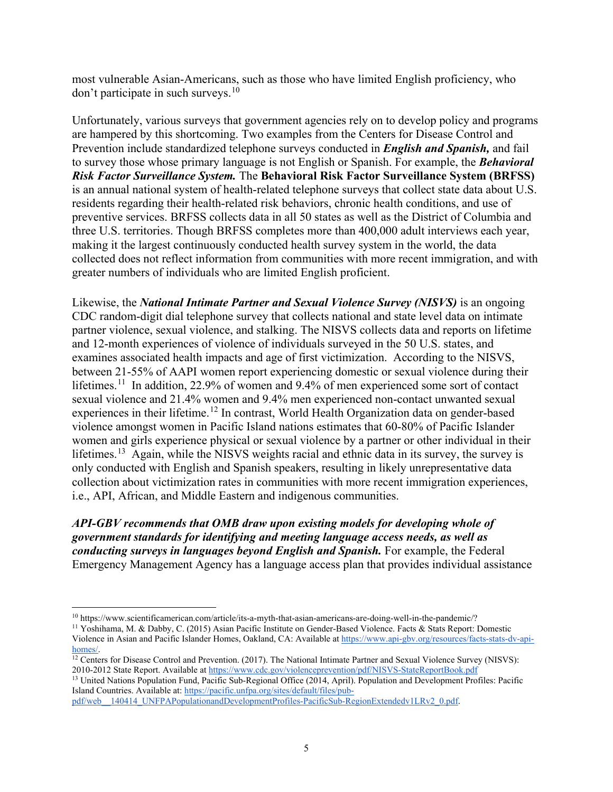most vulnerable Asian-Americans, such as those who have limited English proficiency, who don't participate in such surveys.<sup>[10](#page-4-0)</sup>

Unfortunately, various surveys that government agencies rely on to develop policy and programs are hampered by this shortcoming. Two examples from the Centers for Disease Control and Prevention include standardized telephone surveys conducted in *English and Spanish,* and fail to survey those whose primary language is not English or Spanish. For example, the *Behavioral Risk Factor Surveillance System.* The **Behavioral Risk Factor Surveillance System (BRFSS)** is an annual national system of health-related telephone surveys that collect state data about U.S. residents regarding their health-related risk behaviors, chronic health conditions, and use of preventive services. BRFSS collects data in all 50 states as well as the District of Columbia and three U.S. territories. Though BRFSS completes more than 400,000 adult interviews each year, making it the largest continuously conducted health survey system in the world, the data collected does not reflect information from communities with more recent immigration, and with greater numbers of individuals who are limited English proficient.

Likewise, the *National Intimate Partner and Sexual Violence Survey (NISVS)* is an ongoing CDC random-digit dial telephone survey that collects national and state level data on intimate partner violence, sexual violence, and stalking. The NISVS collects data and reports on lifetime and 12-month experiences of violence of individuals surveyed in the 50 U.S. states, and examines associated health impacts and age of first victimization. According to the NISVS, between 21-55% of AAPI women report experiencing domestic or sexual violence during their lifetimes.<sup>11</sup> In addition, 22.9% of women and 9.4% of men experienced some sort of contact sexual violence and 21.4% women and 9.4% men experienced non-contact unwanted sexual experiences in their lifetime.[12](#page-4-2) In contrast, World Health Organization data on gender-based violence amongst women in Pacific Island nations estimates that 60-80% of Pacific Islander women and girls experience physical or sexual violence by a partner or other individual in their lifetimes.<sup>13</sup> Again, while the NISVS weights racial and ethnic data in its survey, the survey is only conducted with English and Spanish speakers, resulting in likely unrepresentative data collection about victimization rates in communities with more recent immigration experiences, i.e., API, African, and Middle Eastern and indigenous communities.

*API-GBV recommends that OMB draw upon existing models for developing whole of government standards for identifying and meeting language access needs, as well as conducting surveys in languages beyond English and Spanish.* For example, the Federal Emergency Management Agency has a language access plan that provides individual assistance

<span id="page-4-3"></span><sup>13</sup> United Nations Population Fund, Pacific Sub-Regional Office (2014, April). Population and Development Profiles: Pacific Island Countries. Available at[:](https://pacific.unfpa.org/sites/default/files/pub-pdf/web__140414_UNFPAPopulationandDevelopmentProfiles-PacificSub-RegionExtendedv1LRv2_0.pdf) [https://pacific.unfpa.org/sites/default/files/pub-](https://pacific.unfpa.org/sites/default/files/pub-pdf/web__140414_UNFPAPopulationandDevelopmentProfiles-PacificSub-RegionExtendedv1LRv2_0.pdf)

[pdf/web\\_\\_140414\\_UNFPAPopulationandDevelopmentProfiles-PacificSub-RegionExtendedv1LRv2\\_0.pdf.](https://pacific.unfpa.org/sites/default/files/pub-pdf/web__140414_UNFPAPopulationandDevelopmentProfiles-PacificSub-RegionExtendedv1LRv2_0.pdf)

<span id="page-4-0"></span> <sup>10</sup> https://www.scientificamerican.com/article/its-a-myth-that-asian-americans-are-doing-well-in-the-pandemic/?

<span id="page-4-1"></span><sup>11</sup> Yoshihama, M. & Dabby, C. (2015) Asian Pacific Institute on Gender-Based Violence. Facts & Stats Report: Domestic Violence in Asian and Pacific Islander Homes, Oakland, CA: Available a[t](https://www.api-gbv.org/resources/facts-stats-dv-api-homes/) [https://www.api-gbv.org/resources/facts-stats-dv-api](https://www.api-gbv.org/resources/facts-stats-dv-api-homes/)[homes/.](https://www.api-gbv.org/resources/facts-stats-dv-api-homes/)

<span id="page-4-2"></span> $\frac{12 \text{ Centers}}{12 \text{Centers}}$  for Disease Control and Prevention. (2017). The National Intimate Partner and Sexual Violence Survey (NISVS): 2010-2012 State Report. Available at <https://www.cdc.gov/violenceprevention/pdf/NISVS-StateReportBook.pdf>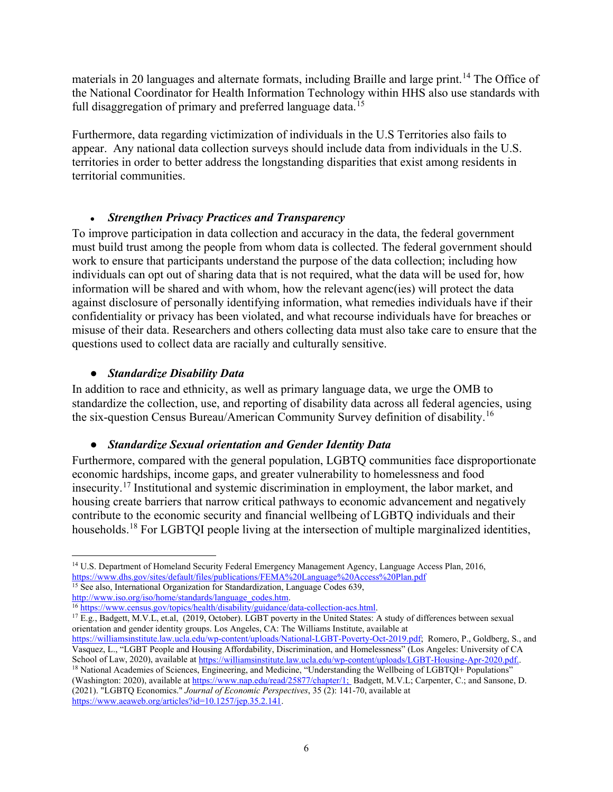materials in 20 languages and alternate formats, including Braille and large print.<sup>[14](#page-5-0)</sup> The Office of the National Coordinator for Health Information Technology within HHS also use standards with full disaggregation of primary and preferred language data.<sup>[15](#page-5-1)</sup>

Furthermore, data regarding victimization of individuals in the U.S Territories also fails to appear. Any national data collection surveys should include data from individuals in the U.S. territories in order to better address the longstanding disparities that exist among residents in territorial communities.

#### ● *Strengthen Privacy Practices and Transparency*

To improve participation in data collection and accuracy in the data, the federal government must build trust among the people from whom data is collected. The federal government should work to ensure that participants understand the purpose of the data collection; including how individuals can opt out of sharing data that is not required, what the data will be used for, how information will be shared and with whom, how the relevant agenc(ies) will protect the data against disclosure of personally identifying information, what remedies individuals have if their confidentiality or privacy has been violated, and what recourse individuals have for breaches or misuse of their data. Researchers and others collecting data must also take care to ensure that the questions used to collect data are racially and culturally sensitive.

#### ● *Standardize Disability Data*

In addition to race and ethnicity, as well as primary language data, we urge the OMB to standardize the collection, use, and reporting of disability data across all federal agencies, using the six-question Census Bureau/American Community Survey definition of disability.<sup>[16](#page-5-2)</sup>

#### ● *Standardize Sexual orientation and Gender Identity Data*

Furthermore, compared with the general population, LGBTQ communities face disproportionate economic hardships, income gaps, and greater vulnerability to homelessness and food insecurity.[17](#page-5-3) Institutional and systemic discrimination in employment, the labor market, and housing create barriers that narrow critical pathways to economic advancement and negatively contribute to the economic security and financial wellbeing of LGBTQ individuals and their households.<sup>[18](#page-5-4)</sup> For LGBTQI people living at the intersection of multiple marginalized identities,

<span id="page-5-1"></span><sup>15</sup> See also, International Organization for Standardization, Language Codes 639, [http://www.iso.org/iso/home/standards/language\\_codes.htm.](http://www.iso.org/iso/home/standards/language_codes.htm)

<span id="page-5-3"></span><span id="page-5-2"></span><sup>16</sup> [https://www.census.gov/topics/health/disability/guidance/data-collection-acs.html.](https://www.census.gov/topics/health/disability/guidance/data-collection-acs.html) <sup>17</sup> E.g., Badgett, M.V.L, et.al, (2019, October). LGBT poverty in the United States: A study of differences between sexual orientation and gender identity groups. Los Angeles, CA: The Williams Institute, available at

<span id="page-5-0"></span><sup>&</sup>lt;sup>14</sup> U.S. Department of Homeland Security Federal Emergency Management Agency, Language Access Plan, 2016, <https://www.dhs.gov/sites/default/files/publications/FEMA%20Language%20Access%20Plan.pdf>

<span id="page-5-4"></span>[https://williamsinstitute.law.ucla.edu/wp-content/uploads/National-LGBT-Poverty-Oct-2019.pdf;](https://williamsinstitute.law.ucla.edu/wp-content/uploads/National-LGBT-Poverty-Oct-2019.pdf) Romero, P., Goldberg, S., and Vasquez, L., "LGBT People and Housing Affordability, Discrimination, and Homelessness" (Los Angeles: University of CA School of Law, 2020), available a[t https://williamsinstitute.law.ucla.edu/wp-content/uploads/LGBT-Housing-Apr-2020.pdf..](https://williamsinstitute.law.ucla.edu/wp-content/uploads/LGBT-Housing-Apr-2020.pdf) <sup>18</sup> National Academies of Sciences, Engineering, and Medicine, "Understanding the Wellbeing of LGBTQI+ Populations" (Washington: 2020), available at [https://www.nap.edu/read/25877/chapter/1;](https://www.nap.edu/read/25877/chapter/1) Badgett, M.V.L; Carpenter, C.; and Sansone, D. (2021). "LGBTQ Economics." *Journal of Economic Perspectives*, 35 (2): 141-70, available at [https://www.aeaweb.org/articles?id=10.1257/jep.35.2.141.](https://www.aeaweb.org/articles?id=10.1257/jep.35.2.141)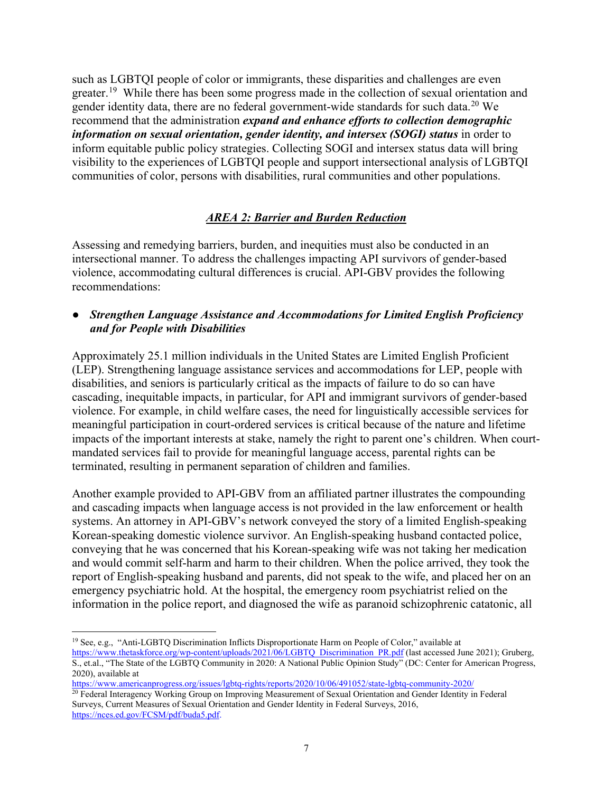such as LGBTQI people of color or immigrants, these disparities and challenges are even greater.<sup>[19](#page-6-0)</sup> While there has been some progress made in the collection of sexual orientation and gender identity data, there are no federal government-wide standards for such data.<sup>[20](#page-6-1)</sup> We recommend that the administration *expand and enhance efforts to collection demographic information on sexual orientation, gender identity, and intersex (SOGI) status* in order to inform equitable public policy strategies. Collecting SOGI and intersex status data will bring visibility to the experiences of LGBTQI people and support intersectional analysis of LGBTQI communities of color, persons with disabilities, rural communities and other populations.

### *AREA 2: Barrier and Burden Reduction*

Assessing and remedying barriers, burden, and inequities must also be conducted in an intersectional manner. To address the challenges impacting API survivors of gender-based violence, accommodating cultural differences is crucial. API-GBV provides the following recommendations:

#### ● *Strengthen Language Assistance and Accommodations for Limited English Proficiency and for People with Disabilities*

Approximately 25.1 million individuals in the United States are Limited English Proficient (LEP). Strengthening language assistance services and accommodations for LEP, people with disabilities, and seniors is particularly critical as the impacts of failure to do so can have cascading, inequitable impacts, in particular, for API and immigrant survivors of gender-based violence. For example, in child welfare cases, the need for linguistically accessible services for meaningful participation in court-ordered services is critical because of the nature and lifetime impacts of the important interests at stake, namely the right to parent one's children. When courtmandated services fail to provide for meaningful language access, parental rights can be terminated, resulting in permanent separation of children and families.

Another example provided to API-GBV from an affiliated partner illustrates the compounding and cascading impacts when language access is not provided in the law enforcement or health systems. An attorney in API-GBV's network conveyed the story of a limited English-speaking Korean-speaking domestic violence survivor. An English-speaking husband contacted police, conveying that he was concerned that his Korean-speaking wife was not taking her medication and would commit self-harm and harm to their children. When the police arrived, they took the report of English-speaking husband and parents, did not speak to the wife, and placed her on an emergency psychiatric hold. At the hospital, the emergency room psychiatrist relied on the information in the police report, and diagnosed the wife as paranoid schizophrenic catatonic, all

<https://www.americanprogress.org/issues/lgbtq-rights/reports/2020/10/06/491052/state-lgbtq-community-2020/>

<span id="page-6-0"></span> <sup>19</sup> See, e.g., "Anti-LGBTQ Discrimination Inflicts Disproportionate Harm on People of Color," available at [https://www.thetaskforce.org/wp-content/uploads/2021/06/LGBTQ\\_Discrimination\\_PR.pdf](https://www.thetaskforce.org/wp-content/uploads/2021/06/LGBTQ_Discrimination_PR.pdf) (last accessed June 2021); Gruberg, S., et.al., "The State of the LGBTQ Community in 2020: A National Public Opinion Study" (DC: Center for American Progress, 2020), available at

<span id="page-6-1"></span><sup>&</sup>lt;sup>20</sup> Federal Interagency Working Group on Improving Measurement of Sexual Orientation and Gender Identity in Federal Surveys, Current Measures of Sexual Orientation and Gender Identity in Federal Surveys, 2016, [https://nces.ed.gov/FCSM/pdf/buda5.pdf.](https://nces.ed.gov/FCSM/pdf/buda5.pdf)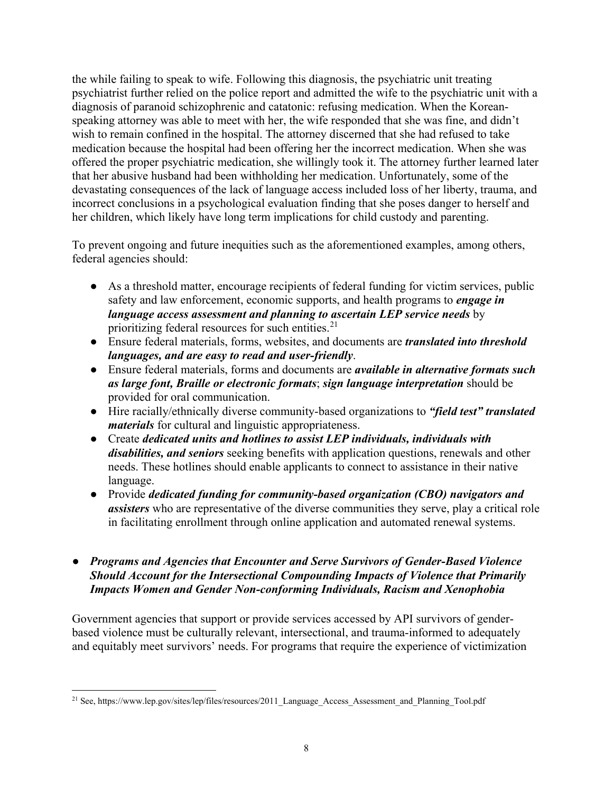the while failing to speak to wife. Following this diagnosis, the psychiatric unit treating psychiatrist further relied on the police report and admitted the wife to the psychiatric unit with a diagnosis of paranoid schizophrenic and catatonic: refusing medication. When the Koreanspeaking attorney was able to meet with her, the wife responded that she was fine, and didn't wish to remain confined in the hospital. The attorney discerned that she had refused to take medication because the hospital had been offering her the incorrect medication. When she was offered the proper psychiatric medication, she willingly took it. The attorney further learned later that her abusive husband had been withholding her medication. Unfortunately, some of the devastating consequences of the lack of language access included loss of her liberty, trauma, and incorrect conclusions in a psychological evaluation finding that she poses danger to herself and her children, which likely have long term implications for child custody and parenting.

To prevent ongoing and future inequities such as the aforementioned examples, among others, federal agencies should:

- As a threshold matter, encourage recipients of federal funding for victim services, public safety and law enforcement, economic supports, and health programs to *engage in language access assessment and planning to ascertain LEP service needs* by prioritizing federal resources for such entities.<sup>[21](#page-7-0)</sup>
- Ensure federal materials, forms, websites, and documents are *translated into threshold languages, and are easy to read and user-friendly*.
- Ensure federal materials, forms and documents are *available in alternative formats such as large font, Braille or electronic formats*; *sign language interpretation* should be provided for oral communication.
- Hire racially/ethnically diverse community-based organizations to *"field test" translated materials* for cultural and linguistic appropriateness.
- Create *dedicated units and hotlines to assist LEP individuals, individuals with disabilities, and seniors* seeking benefits with application questions, renewals and other needs. These hotlines should enable applicants to connect to assistance in their native language.
- Provide *dedicated funding for community-based organization (CBO) navigators and assisters* who are representative of the diverse communities they serve, play a critical role in facilitating enrollment through online application and automated renewal systems.
- *Programs and Agencies that Encounter and Serve Survivors of Gender-Based Violence Should Account for the Intersectional Compounding Impacts of Violence that Primarily Impacts Women and Gender Non-conforming Individuals, Racism and Xenophobia*

Government agencies that support or provide services accessed by API survivors of genderbased violence must be culturally relevant, intersectional, and trauma-informed to adequately and equitably meet survivors' needs. For programs that require the experience of victimization

<span id="page-7-0"></span><sup>&</sup>lt;sup>21</sup> See, https://www.lep.gov/sites/lep/files/resources/2011\_Language\_Access\_Assessment\_and\_Planning\_Tool.pdf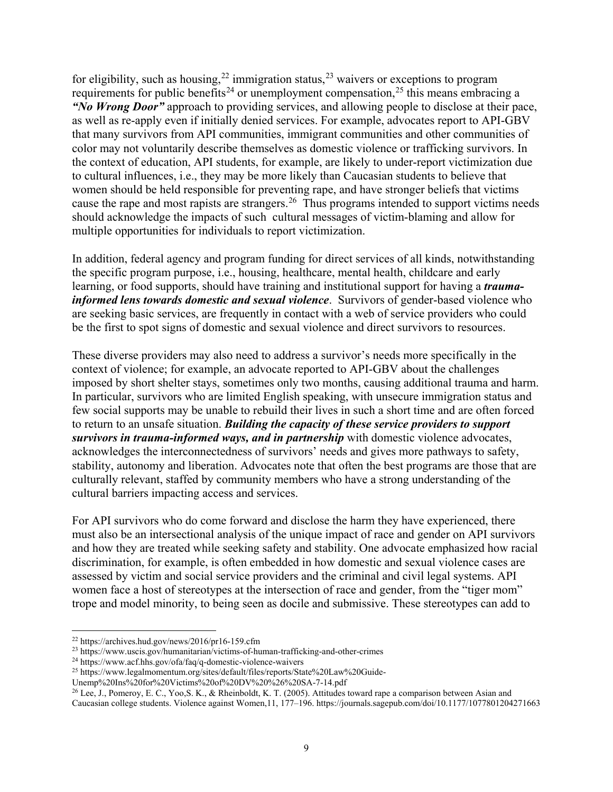for eligibility, such as housing,  $22$  immigration status,  $23$  waivers or exceptions to program requirements for public benefits<sup>[24](#page-8-2)</sup> or unemployment compensation,<sup>[25](#page-8-3)</sup> this means embracing a *"No Wrong Door"* approach to providing services, and allowing people to disclose at their pace, as well as re-apply even if initially denied services. For example, advocates report to API-GBV that many survivors from API communities, immigrant communities and other communities of color may not voluntarily describe themselves as domestic violence or trafficking survivors. In the context of education, API students, for example, are likely to under-report victimization due to cultural influences, i.e., they may be more likely than Caucasian students to believe that women should be held responsible for preventing rape, and have stronger beliefs that victims cause the rape and most rapists are strangers.[26](#page-8-4) Thus programs intended to support victims needs should acknowledge the impacts of such cultural messages of victim-blaming and allow for multiple opportunities for individuals to report victimization.

In addition, federal agency and program funding for direct services of all kinds, notwithstanding the specific program purpose, i.e., housing, healthcare, mental health, childcare and early learning, or food supports, should have training and institutional support for having a *traumainformed lens towards domestic and sexual violence*. Survivors of gender-based violence who are seeking basic services, are frequently in contact with a web of service providers who could be the first to spot signs of domestic and sexual violence and direct survivors to resources.

These diverse providers may also need to address a survivor's needs more specifically in the context of violence; for example, an advocate reported to API-GBV about the challenges imposed by short shelter stays, sometimes only two months, causing additional trauma and harm. In particular, survivors who are limited English speaking, with unsecure immigration status and few social supports may be unable to rebuild their lives in such a short time and are often forced to return to an unsafe situation. *Building the capacity of these service providers to support survivors in trauma-informed ways, and in partnership* with domestic violence advocates, acknowledges the interconnectedness of survivors' needs and gives more pathways to safety, stability, autonomy and liberation. Advocates note that often the best programs are those that are culturally relevant, staffed by community members who have a strong understanding of the cultural barriers impacting access and services.

For API survivors who do come forward and disclose the harm they have experienced, there must also be an intersectional analysis of the unique impact of race and gender on API survivors and how they are treated while seeking safety and stability. One advocate emphasized how racial discrimination, for example, is often embedded in how domestic and sexual violence cases are assessed by victim and social service providers and the criminal and civil legal systems. API women face a host of stereotypes at the intersection of race and gender, from the "tiger mom" trope and model minority, to being seen as docile and submissive. These stereotypes can add to

<span id="page-8-0"></span> <sup>22</sup> https://archives.hud.gov/news/2016/pr16-159.cfm

<span id="page-8-1"></span><sup>23</sup> https://www.uscis.gov/humanitarian/victims-of-human-trafficking-and-other-crimes

<span id="page-8-2"></span><sup>24</sup> https://www.acf.hhs.gov/ofa/faq/q-domestic-violence-waivers

<span id="page-8-3"></span><sup>25</sup> https://www.legalmomentum.org/sites/default/files/reports/State%20Law%20Guide-

Unemp%20Ins%20for%20Victims%20of%20DV%20%26%20SA-7-14.pdf

<span id="page-8-4"></span><sup>26</sup> Lee, J., Pomeroy, E. C., Yoo,S. K., & Rheinboldt, K. T. (2005). Attitudes toward rape a comparison between Asian and Caucasian college students. Violence against Women,11, 177–196. https://journals.sagepub.com/doi/10.1177/1077801204271663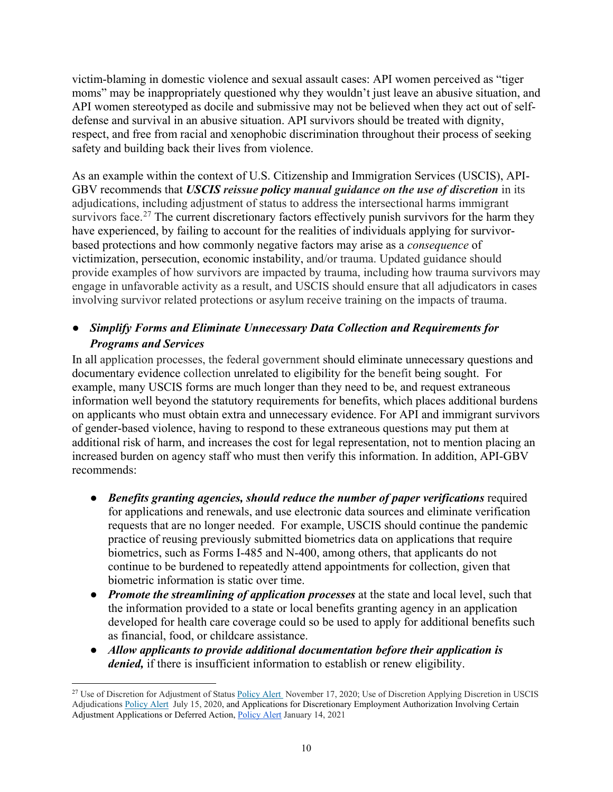victim-blaming in domestic violence and sexual assault cases: API women perceived as "tiger moms" may be inappropriately questioned why they wouldn't just leave an abusive situation, and API women stereotyped as docile and submissive may not be believed when they act out of selfdefense and survival in an abusive situation. API survivors should be treated with dignity, respect, and free from racial and xenophobic discrimination throughout their process of seeking safety and building back their lives from violence.

As an example within the context of U.S. Citizenship and Immigration Services (USCIS), API-GBV recommends that *USCIS reissue policy manual guidance on the use of discretion* in its adjudications, including adjustment of status to address the intersectional harms immigrant survivors face.<sup>[27](#page-9-0)</sup> The current discretionary factors effectively punish survivors for the harm they have experienced, by failing to account for the realities of individuals applying for survivorbased protections and how commonly negative factors may arise as a *consequence* of victimization, persecution, economic instability, and/or trauma. Updated guidance should provide examples of how survivors are impacted by trauma, including how trauma survivors may engage in unfavorable activity as a result, and USCIS should ensure that all adjudicators in cases involving survivor related protections or asylum receive training on the impacts of trauma.

# ● *Simplify Forms and Eliminate Unnecessary Data Collection and Requirements for Programs and Services*

In all application processes, the federal government should eliminate unnecessary questions and documentary evidence collection unrelated to eligibility for the benefit being sought. For example, many USCIS forms are much longer than they need to be, and request extraneous information well beyond the statutory requirements for benefits, which places additional burdens on applicants who must obtain extra and unnecessary evidence. For API and immigrant survivors of gender-based violence, having to respond to these extraneous questions may put them at additional risk of harm, and increases the cost for legal representation, not to mention placing an increased burden on agency staff who must then verify this information. In addition, API-GBV recommends:

- *Benefits granting agencies, should reduce the number of paper verifications* required for applications and renewals, and use electronic data sources and eliminate verification requests that are no longer needed. For example, USCIS should continue the pandemic practice of reusing previously submitted biometrics data on applications that require biometrics, such as Forms I-485 and N-400, among others, that applicants do not continue to be burdened to repeatedly attend appointments for collection, given that biometric information is static over time.
- *Promote the streamlining of application processes* at the state and local level, such that the information provided to a state or local benefits granting agency in an application developed for health care coverage could so be used to apply for additional benefits such as financial, food, or childcare assistance.
- *Allow applicants to provide additional documentation before their application is denied,* if there is insufficient information to establish or renew eligibility.

<span id="page-9-0"></span><sup>&</sup>lt;sup>27</sup> Use of Discretion for Adjustment of Status [Policy Alert](https://www.uscis.gov/sites/default/files/document/policy-manual-updates/20201117-AOSDiscretion.pdf) November 17, 2020; Use of Discretion Applying Discretion in USCIS Adjudication[s Policy Alert](https://www.uscis.gov/sites/default/files/document/policy-manual-updates/20200715-Discretion.pdf) July 15, 2020, and Applications for Discretionary Employment Authorization Involving Certain Adjustment Applications or Deferred Action, [Policy Alert](https://www.uscis.gov/sites/default/files/document/policy-manual-updates/20210114-DiscretionaryEADForAOSAndDA.pdf) January 14, 2021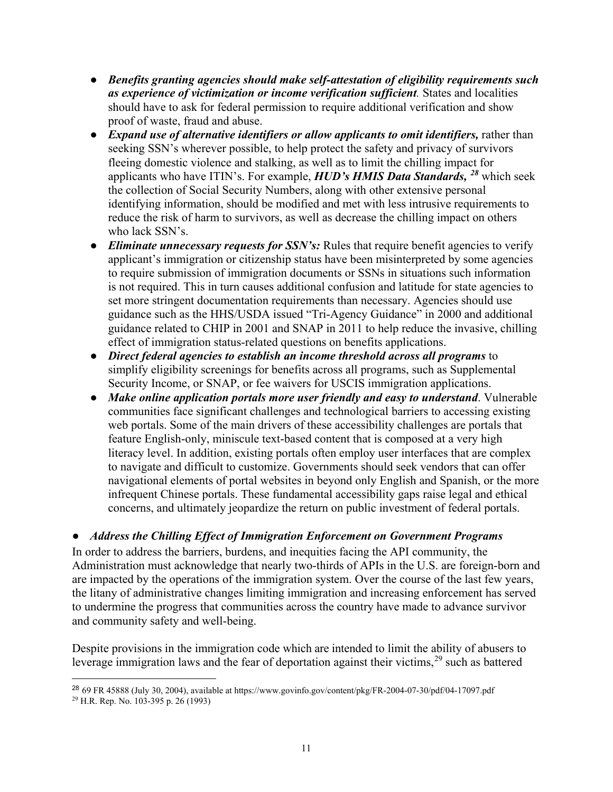- *Benefits granting agencies should make self-attestation of eligibility requirements such as experience of victimization or income verification sufficient.* States and localities should have to ask for federal permission to require additional verification and show proof of waste, fraud and abuse.
- *Expand use of alternative identifiers or allow applicants to omit identifiers,* rather than seeking SSN's wherever possible, to help protect the safety and privacy of survivors fleeing domestic violence and stalking, as well as to limit the chilling impact for applicants who have ITIN's. For example, *HUD's HMIS Data Standards, [28](#page-10-0)* which seek the collection of Social Security Numbers, along with other extensive personal identifying information, should be modified and met with less intrusive requirements to reduce the risk of harm to survivors, as well as decrease the chilling impact on others who lack SSN's.
- *Eliminate unnecessary requests for SSN's*: Rules that require benefit agencies to verify applicant's immigration or citizenship status have been misinterpreted by some agencies to require submission of immigration documents or SSNs in situations such information is not required. This in turn causes additional confusion and latitude for state agencies to set more stringent documentation requirements than necessary. Agencies should use guidance such as the HHS/USDA issued "Tri-Agency Guidance" in 2000 and additional guidance related to CHIP in 2001 and SNAP in 2011 to help reduce the invasive, chilling effect of immigration status-related questions on benefits applications.
- *Direct federal agencies to establish an income threshold across all programs* to simplify eligibility screenings for benefits across all programs, such as Supplemental Security Income, or SNAP, or fee waivers for USCIS immigration applications.
- *Make online application portals more user friendly and easy to understand*. Vulnerable communities face significant challenges and technological barriers to accessing existing web portals. Some of the main drivers of these accessibility challenges are portals that feature English-only, miniscule text-based content that is composed at a very high literacy level. In addition, existing portals often employ user interfaces that are complex to navigate and difficult to customize. Governments should seek vendors that can offer navigational elements of portal websites in beyond only English and Spanish, or the more infrequent Chinese portals. These fundamental accessibility gaps raise legal and ethical concerns, and ultimately jeopardize the return on public investment of federal portals.

### ● *Address the Chilling Effect of Immigration Enforcement on Government Programs*

In order to address the barriers, burdens, and inequities facing the API community, the Administration must acknowledge that nearly two-thirds of APIs in the U.S. are foreign-born and are impacted by the operations of the immigration system. Over the course of the last few years, the litany of administrative changes limiting immigration and increasing enforcement has served to undermine the progress that communities across the country have made to advance survivor and community safety and well-being.

Despite provisions in the immigration code which are intended to limit the ability of abusers to leverage immigration laws and the fear of deportation against their victims,  $29$  such as battered

<span id="page-10-1"></span><span id="page-10-0"></span> $\overline{a}$ <sup>28</sup> 69 FR 45888 (July 30, 2004), available at https://www.govinfo.gov/content/pkg/FR-2004-07-30/pdf/04-17097.pdf <sup>29</sup> H.R. Rep. No. 103-395 p. 26 (1993)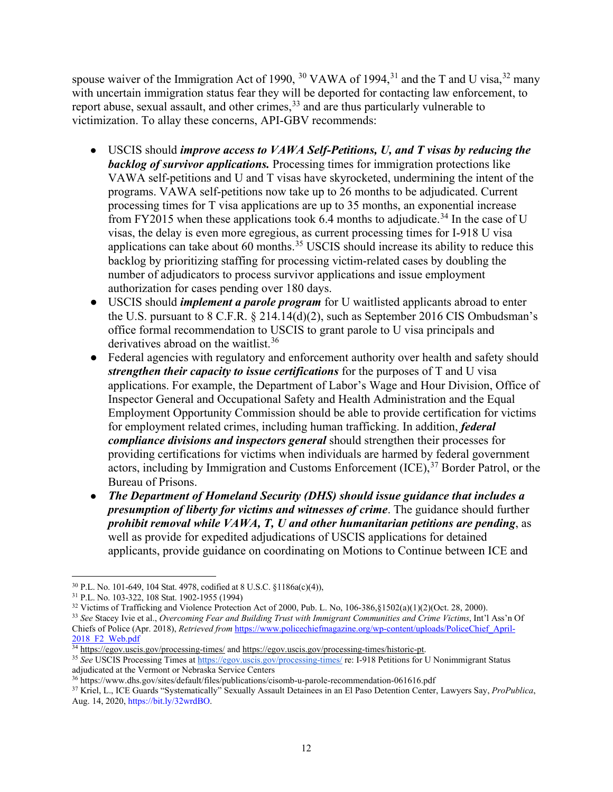spouse waiver of the Immigration Act of 1990, <sup>[30](#page-11-0)</sup> VAWA of 1994,<sup>[31](#page-11-1)</sup> and the T and U visa,<sup>[32](#page-11-2)</sup> many with uncertain immigration status fear they will be deported for contacting law enforcement, to report abuse, sexual assault, and other crimes,<sup>[33](#page-11-3)</sup> and are thus particularly vulnerable to victimization. To allay these concerns, API-GBV recommends:

- USCIS should *improve access to VAWA Self-Petitions, U, and T visas by reducing the backlog of survivor applications.* Processing times for immigration protections like VAWA self-petitions and U and T visas have skyrocketed, undermining the intent of the programs. VAWA self-petitions now take up to 26 months to be adjudicated. Current processing times for T visa applications are up to 35 months, an exponential increase from FY2015 when these applications took 6.4 months to adjudicate.<sup>[34](#page-11-4)</sup> In the case of U visas, the delay is even more egregious, as current processing times for I-918 U visa applications can take about 60 months.<sup>[35](#page-11-5)</sup> USCIS should increase its ability to reduce this backlog by prioritizing staffing for processing victim-related cases by doubling the number of adjudicators to process survivor applications and issue employment authorization for cases pending over 180 days.
- USCIS should *implement a parole program* for U waitlisted applicants abroad to enter the U.S. pursuant to 8 C.F.R. § 214.14(d)(2), such as September 2016 CIS Ombudsman's office formal recommendation to USCIS to grant parole to U visa principals and derivatives abroad on the waitlist.<sup>[36](#page-11-6)</sup>
- Federal agencies with regulatory and enforcement authority over health and safety should *strengthen their capacity to issue certifications* for the purposes of T and U visa applications. For example, the Department of Labor's Wage and Hour Division, Office of Inspector General and Occupational Safety and Health Administration and the Equal Employment Opportunity Commission should be able to provide certification for victims for employment related crimes, including human trafficking. In addition, *federal compliance divisions and inspectors general* should strengthen their processes for providing certifications for victims when individuals are harmed by federal government actors, including by Immigration and Customs Enforcement (ICE),<sup>[37](#page-11-7)</sup> Border Patrol, or the Bureau of Prisons.
- *The Department of Homeland Security (DHS) should issue guidance that includes a presumption of liberty for victims and witnesses of crime*. The guidance should further *prohibit removal while VAWA, T, U and other humanitarian petitions are pending*, as well as provide for expedited adjudications of USCIS applications for detained applicants, provide guidance on coordinating on Motions to Continue between ICE and

<span id="page-11-0"></span> <sup>30</sup> P.L. No. 101-649, 104 Stat. 4978, codified at 8 U.S.C. §1186a(c)(4)),

<span id="page-11-2"></span><span id="page-11-1"></span><sup>&</sup>lt;sup>31</sup> P.L. No. 103-322, 108 Stat. 1902-1955 (1994)<br><sup>32</sup> Victims of Trafficking and Violence Protection Act of 2000. Pub. L. No. 106-386.81502(a)(1)(2)(Oct. 28, 2000).

<span id="page-11-3"></span><sup>&</sup>lt;sup>33</sup> See Stacey Ivie et al., Overcoming Fear and Building Trust with Immigrant Communities and Crime Victims, Int'l Ass'n Of Chiefs of Police (Apr. 2018), *Retrieved from* [https://www.policechiefmagazine.org/wp-content/uploads/PoliceChief\\_April-](https://www.policechiefmagazine.org/wp-content/uploads/PoliceChief_April-2018_F2_Web.pdf)2018 F2 Web.pdf

<span id="page-11-4"></span><sup>34</sup> <https://egov.uscis.gov/processing-times/> an[d https://egov.uscis.gov/processing-times/historic-pt.](https://egov.uscis.gov/processing-times/historic-pt)

<span id="page-11-5"></span><sup>35</sup> *See* USCIS Processing Times a[t https://egov.uscis.gov/processing-times/](https://egov.uscis.gov/processing-times/) re: I-918 Petitions for U Nonimmigrant Status adjudicated at the Vermont or Nebraska Service Centers

<sup>36</sup> https://www.dhs.gov/sites/default/files/publications/cisomb-u-parole-recommendation-061616.pdf

<span id="page-11-7"></span><span id="page-11-6"></span><sup>37</sup> Kriel, L., ICE Guards "Systematically" Sexually Assault Detainees in an El Paso Detention Center, Lawyers Say, *ProPublica*, Aug. 14, 2020, https://bit.ly/32wrdBO.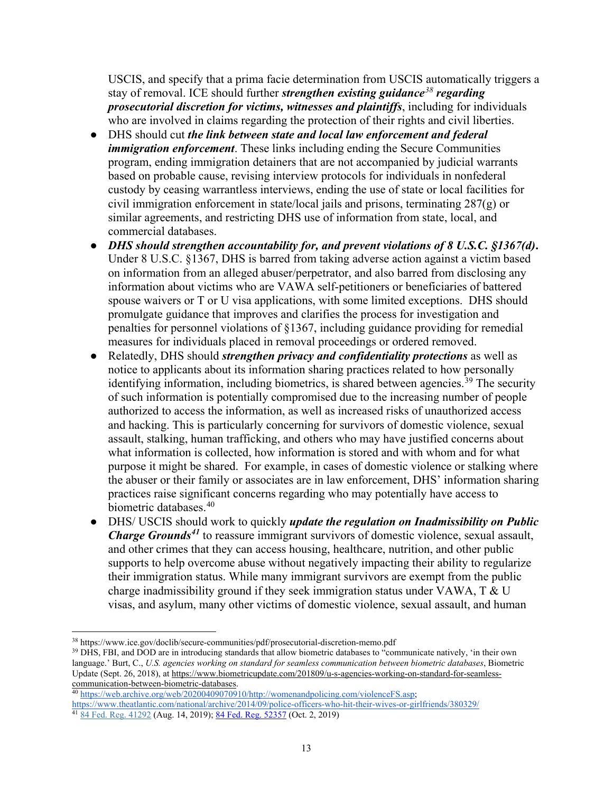USCIS, and specify that a prima facie determination from USCIS automatically triggers a stay of removal. ICE should further *strengthen existing guidance[38](#page-12-0) regarding prosecutorial discretion for victims, witnesses and plaintiffs*, including for individuals who are involved in claims regarding the protection of their rights and civil liberties.

- DHS should cut *the link between state and local law enforcement and federal immigration enforcement*. These links including ending the Secure Communities program, ending immigration detainers that are not accompanied by judicial warrants based on probable cause, revising interview protocols for individuals in nonfederal custody by ceasing warrantless interviews, ending the use of state or local facilities for civil immigration enforcement in state/local jails and prisons, terminating 287(g) or similar agreements, and restricting DHS use of information from state, local, and commercial databases.
- *DHS should strengthen accountability for, and prevent violations of 8 U.S.C. §1367(d)***.** Under 8 U.S.C. §1367, DHS is barred from taking adverse action against a victim based on information from an alleged abuser/perpetrator, and also barred from disclosing any information about victims who are VAWA self-petitioners or beneficiaries of battered spouse waivers or T or U visa applications, with some limited exceptions. DHS should promulgate guidance that improves and clarifies the process for investigation and penalties for personnel violations of §1367, including guidance providing for remedial measures for individuals placed in removal proceedings or ordered removed.
- Relatedly, DHS should *strengthen privacy and confidentiality protections* as well as notice to applicants about its information sharing practices related to how personally identifying information, including biometrics, is shared between agencies.<sup>[39](#page-12-1)</sup> The security of such information is potentially compromised due to the increasing number of people authorized to access the information, as well as increased risks of unauthorized access and hacking. This is particularly concerning for survivors of domestic violence, sexual assault, stalking, human trafficking, and others who may have justified concerns about what information is collected, how information is stored and with whom and for what purpose it might be shared. For example, in cases of domestic violence or stalking where the abuser or their family or associates are in law enforcement, DHS' information sharing practices raise significant concerns regarding who may potentially have access to biometric databases.[40](#page-12-2)
- DHS/ USCIS should work to quickly *update the regulation on Inadmissibility on Public Charge Grounds[41](#page-12-3)* to reassure immigrant survivors of domestic violence, sexual assault, and other crimes that they can access housing, healthcare, nutrition, and other public supports to help overcome abuse without negatively impacting their ability to regularize their immigration status. While many immigrant survivors are exempt from the public charge inadmissibility ground if they seek immigration status under VAWA,  $T \& U$ visas, and asylum, many other victims of domestic violence, sexual assault, and human

<span id="page-12-0"></span> <sup>38</sup> https://www.ice.gov/doclib/secure-communities/pdf/prosecutorial-discretion-memo.pdf

<span id="page-12-1"></span><sup>&</sup>lt;sup>39</sup> DHS, FBI, and DOD are in introducing standards that allow biometric databases to "communicate natively, 'in their own language.' Burt, C., *U.S. agencies working on standard for seamless communication between biometric databases*, Biometric Update (Sept. 26, 2018), at [https://www.biometricupdate.com/201809/u-s-agencies-working-on-standard-for-seamless](https://www.biometricupdate.com/201809/u-s-agencies-working-on-standard-for-seamless-communication-between-biometric-databases)[communication-between-biometric-databases.](https://www.biometricupdate.com/201809/u-s-agencies-working-on-standard-for-seamless-communication-between-biometric-databases)

<span id="page-12-3"></span><span id="page-12-2"></span><sup>&</sup>lt;sup>40</sup> [https://web.archive.org/web/20200409070910/http://womenandpolicing.com/violenceFS.asp;](https://web.archive.org/web/20200409070910/http:/womenandpolicing.com/violenceFS.asp) <https://www.theatlantic.com/national/archive/2014/09/police-officers-who-hit-their-wives-or-girlfriends/380329/>  $41\overline{84}$  Fed. Reg. [41292](https://www.federalregister.gov/citation/84-FR-41292) (Aug. 14, 2019)[; 84 Fed. Reg. 52357](https://www.federalregister.gov/documents/2019/10/02/2019-21561/inadmissibility-on-public-charge-grounds-correction#footnote-1-p52357) (Oct. 2, 2019)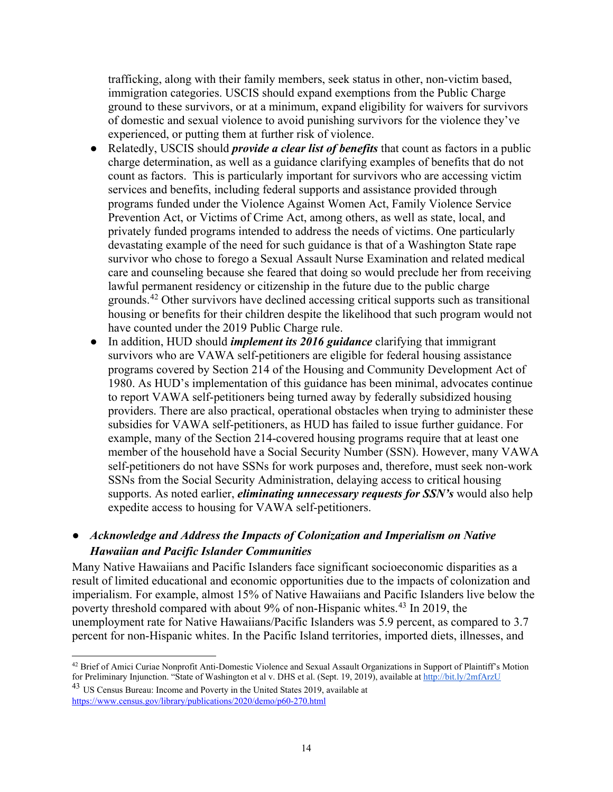trafficking, along with their family members, seek status in other, non-victim based, immigration categories. USCIS should expand exemptions from the Public Charge ground to these survivors, or at a minimum, expand eligibility for waivers for survivors of domestic and sexual violence to avoid punishing survivors for the violence they've experienced, or putting them at further risk of violence.

- Relatedly, USCIS should *provide a clear list of benefits* that count as factors in a public charge determination, as well as a guidance clarifying examples of benefits that do not count as factors. This is particularly important for survivors who are accessing victim services and benefits, including federal supports and assistance provided through programs funded under the Violence Against Women Act, Family Violence Service Prevention Act, or Victims of Crime Act, among others, as well as state, local, and privately funded programs intended to address the needs of victims. One particularly devastating example of the need for such guidance is that of a Washington State rape survivor who chose to forego a Sexual Assault Nurse Examination and related medical care and counseling because she feared that doing so would preclude her from receiving lawful permanent residency or citizenship in the future due to the public charge grounds.[42](#page-13-0) Other survivors have declined accessing critical supports such as transitional housing or benefits for their children despite the likelihood that such program would not have counted under the 2019 Public Charge rule.
- In addition, HUD should *implement its 2016 guidance* clarifying that immigrant survivors who are VAWA self-petitioners are eligible for federal housing assistance programs covered by Section 214 of the Housing and Community Development Act of 1980. As HUD's implementation of this guidance has been minimal, advocates continue to report VAWA self-petitioners being turned away by federally subsidized housing providers. There are also practical, operational obstacles when trying to administer these subsidies for VAWA self-petitioners, as HUD has failed to issue further guidance. For example, many of the Section 214-covered housing programs require that at least one member of the household have a Social Security Number (SSN). However, many VAWA self-petitioners do not have SSNs for work purposes and, therefore, must seek non-work SSNs from the Social Security Administration, delaying access to critical housing supports. As noted earlier, *eliminating unnecessary requests for SSN's* would also help expedite access to housing for VAWA self-petitioners.

#### ● *Acknowledge and Address the Impacts of Colonization and Imperialism on Native Hawaiian and Pacific Islander Communities*

Many Native Hawaiians and Pacific Islanders face significant socioeconomic disparities as a result of limited educational and economic opportunities due to the impacts of colonization and imperialism. For example, almost 15% of Native Hawaiians and Pacific Islanders live below the poverty threshold compared with about 9% of non-Hispanic whites.<sup>[43](#page-13-1)</sup> In 2019, the unemployment rate for Native Hawaiians/Pacific Islanders was 5.9 percent, as compared to 3.7 percent for non-Hispanic whites. In the Pacific Island territories, imported diets, illnesses, and

<span id="page-13-0"></span><sup>&</sup>lt;sup>42</sup> Brief of Amici Curiae Nonprofit Anti-Domestic Violence and Sexual Assault Organizations in Support of Plaintiff's Motion for Preliminary Injunction. "State of Washington et al v. DHS et al. (Sept. 19, 2019), available at<http://bit.ly/2mfArzU>

<span id="page-13-1"></span><sup>43</sup> US Census Bureau: Income and Poverty in the United States 2019, available at <https://www.census.gov/library/publications/2020/demo/p60-270.html>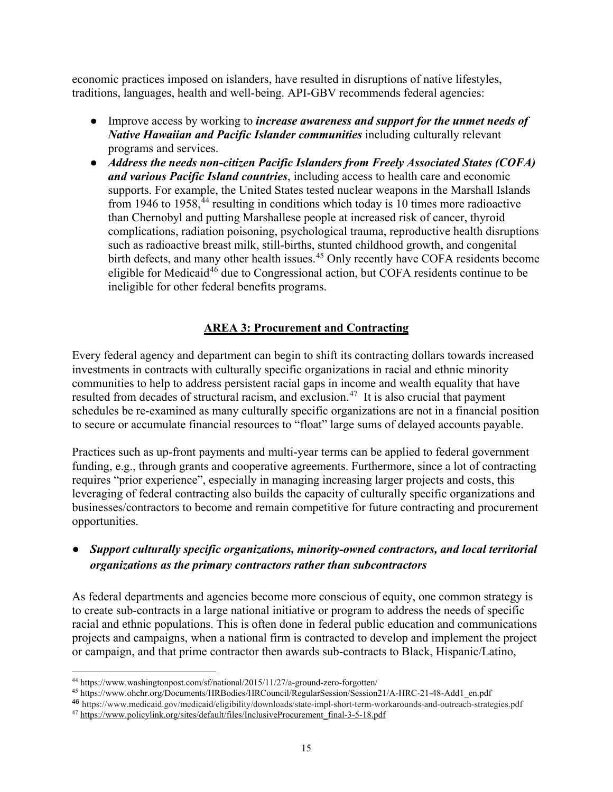economic practices imposed on islanders, have resulted in disruptions of native lifestyles, traditions, languages, health and well-being. API-GBV recommends federal agencies:

- Improve access by working to *increase awareness and support for the unmet needs of Native Hawaiian and Pacific Islander communities* including culturally relevant programs and services.
- *Address the needs non-citizen Pacific Islanders from Freely Associated States (COFA) and various Pacific Island countries*, including access to health care and economic supports. For example, the United States tested nuclear weapons in the Marshall Islands from 1946 to 1958,<sup>[44](#page-14-0)</sup> resulting in conditions which today is 10 times more radioactive than Chernobyl and putting Marshallese people at increased risk of cancer, thyroid complications, radiation poisoning, psychological trauma, reproductive health disruptions such as radioactive breast milk, still-births, stunted childhood growth, and congenital birth defects, and many other health issues.<sup>[45](#page-14-1)</sup> Only recently have COFA residents become eligible for Medicaid<sup>[46](#page-14-2)</sup> due to Congressional action, but COFA residents continue to be ineligible for other federal benefits programs.

#### **AREA 3: Procurement and Contracting**

Every federal agency and department can begin to shift its contracting dollars towards increased investments in contracts with culturally specific organizations in racial and ethnic minority communities to help to address persistent racial gaps in income and wealth equality that have resulted from decades of structural racism, and exclusion.<sup>[47](#page-14-3)</sup> It is also crucial that payment schedules be re-examined as many culturally specific organizations are not in a financial position to secure or accumulate financial resources to "float" large sums of delayed accounts payable.

Practices such as up-front payments and multi-year terms can be applied to federal government funding, e.g., through grants and cooperative agreements. Furthermore, since a lot of contracting requires "prior experience", especially in managing increasing larger projects and costs, this leveraging of federal contracting also builds the capacity of culturally specific organizations and businesses/contractors to become and remain competitive for future contracting and procurement opportunities.

### ● *Support culturally specific organizations, minority-owned contractors, and local territorial organizations as the primary contractors rather than subcontractors*

As federal departments and agencies become more conscious of equity, one common strategy is to create sub-contracts in a large national initiative or program to address the needs of specific racial and ethnic populations. This is often done in federal public education and communications projects and campaigns, when a national firm is contracted to develop and implement the project or campaign, and that prime contractor then awards sub-contracts to Black, Hispanic/Latino,

<span id="page-14-0"></span> <sup>44</sup> https://www.washingtonpost.com/sf/national/2015/11/27/a-ground-zero-forgotten/

<span id="page-14-1"></span><sup>45</sup> https://www.ohchr.org/Documents/HRBodies/HRCouncil/RegularSession/Session21/A-HRC-21-48-Add1\_en.pdf

<span id="page-14-2"></span><sup>46</sup> https://www.medicaid.gov/medicaid/eligibility/downloads/state-impl-short-term-workarounds-and-outreach-strategies.pdf

<span id="page-14-3"></span><sup>47</sup> [https://www.policylink.org/sites/default/files/InclusiveProcurement\\_final-3-5-18.pdf](https://www.policylink.org/sites/default/files/InclusiveProcurement_final-3-5-18.pdf)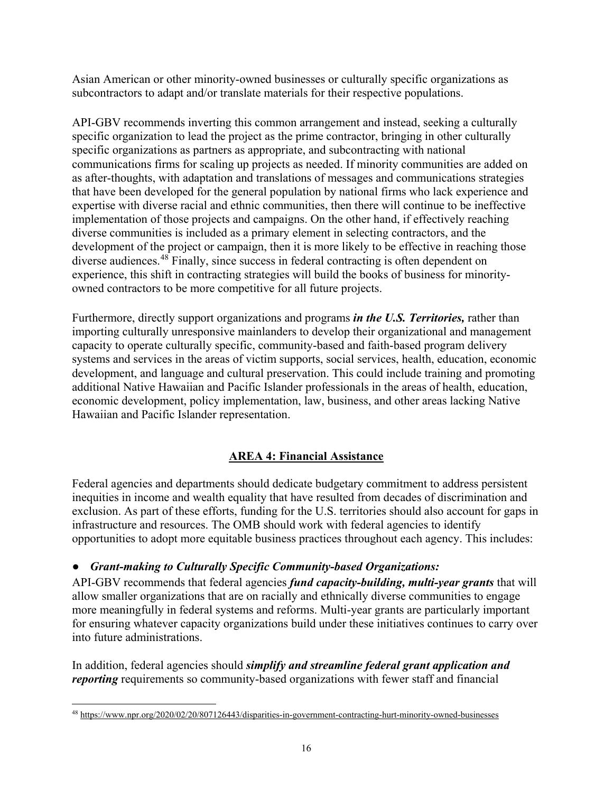Asian American or other minority-owned businesses or culturally specific organizations as subcontractors to adapt and/or translate materials for their respective populations.

API-GBV recommends inverting this common arrangement and instead, seeking a culturally specific organization to lead the project as the prime contractor, bringing in other culturally specific organizations as partners as appropriate, and subcontracting with national communications firms for scaling up projects as needed. If minority communities are added on as after-thoughts, with adaptation and translations of messages and communications strategies that have been developed for the general population by national firms who lack experience and expertise with diverse racial and ethnic communities, then there will continue to be ineffective implementation of those projects and campaigns. On the other hand, if effectively reaching diverse communities is included as a primary element in selecting contractors, and the development of the project or campaign, then it is more likely to be effective in reaching those diverse audiences.[48](#page-15-0) Finally, since success in federal contracting is often dependent on experience, this shift in contracting strategies will build the books of business for minorityowned contractors to be more competitive for all future projects.

Furthermore, directly support organizations and programs *in the U.S. Territories,* rather than importing culturally unresponsive mainlanders to develop their organizational and management capacity to operate culturally specific, community-based and faith-based program delivery systems and services in the areas of victim supports, social services, health, education, economic development, and language and cultural preservation. This could include training and promoting additional Native Hawaiian and Pacific Islander professionals in the areas of health, education, economic development, policy implementation, law, business, and other areas lacking Native Hawaiian and Pacific Islander representation.

### **AREA 4: Financial Assistance**

Federal agencies and departments should dedicate budgetary commitment to address persistent inequities in income and wealth equality that have resulted from decades of discrimination and exclusion. As part of these efforts, funding for the U.S. territories should also account for gaps in infrastructure and resources. The OMB should work with federal agencies to identify opportunities to adopt more equitable business practices throughout each agency. This includes:

#### ● *Grant-making to Culturally Specific Community-based Organizations:*

API-GBV recommends that federal agencies *fund capacity-building, multi-year grants* that will allow smaller organizations that are on racially and ethnically diverse communities to engage more meaningfully in federal systems and reforms. Multi-year grants are particularly important for ensuring whatever capacity organizations build under these initiatives continues to carry over into future administrations.

In addition, federal agencies should *simplify and streamline federal grant application and reporting* requirements so community-based organizations with fewer staff and financial

<span id="page-15-0"></span> <sup>48</sup> <https://www.npr.org/2020/02/20/807126443/disparities-in-government-contracting-hurt-minority-owned-businesses>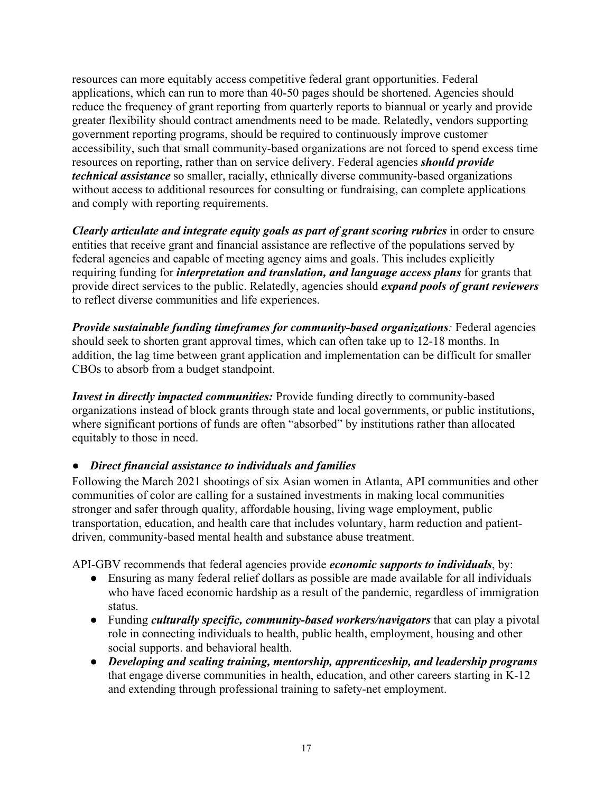resources can more equitably access competitive federal grant opportunities. Federal applications, which can run to more than 40-50 pages should be shortened. Agencies should reduce the frequency of grant reporting from quarterly reports to biannual or yearly and provide greater flexibility should contract amendments need to be made. Relatedly, vendors supporting government reporting programs, should be required to continuously improve customer accessibility, such that small community-based organizations are not forced to spend excess time resources on reporting, rather than on service delivery. Federal agencies *should provide technical assistance* so smaller, racially, ethnically diverse community-based organizations without access to additional resources for consulting or fundraising, can complete applications and comply with reporting requirements.

*Clearly articulate and integrate equity goals as part of grant scoring rubrics* in order to ensure entities that receive grant and financial assistance are reflective of the populations served by federal agencies and capable of meeting agency aims and goals. This includes explicitly requiring funding for *interpretation and translation, and language access plans* for grants that provide direct services to the public. Relatedly, agencies should *expand pools of grant reviewers* to reflect diverse communities and life experiences.

*Provide sustainable funding timeframes for community-based organizations:* Federal agencies should seek to shorten grant approval times, which can often take up to 12-18 months. In addition, the lag time between grant application and implementation can be difficult for smaller CBOs to absorb from a budget standpoint.

*Invest in directly impacted communities:* Provide funding directly to community-based organizations instead of block grants through state and local governments, or public institutions, where significant portions of funds are often "absorbed" by institutions rather than allocated equitably to those in need.

### ● *Direct financial assistance to individuals and families*

Following the March 2021 shootings of six Asian women in Atlanta, API communities and other communities of color are calling for a sustained investments in making local communities stronger and safer through quality, affordable housing, living wage employment, public transportation, education, and health care that includes voluntary, harm reduction and patientdriven, community-based mental health and substance abuse treatment.

API-GBV recommends that federal agencies provide *economic supports to individuals*, by:

- Ensuring as many federal relief dollars as possible are made available for all individuals who have faced economic hardship as a result of the pandemic, regardless of immigration status.
- Funding *culturally specific, community-based workers/navigators* that can play a pivotal role in connecting individuals to health, public health, employment, housing and other social supports. and behavioral health.
- *Developing and scaling training, mentorship, apprenticeship, and leadership programs* that engage diverse communities in health, education, and other careers starting in K-12 and extending through professional training to safety-net employment.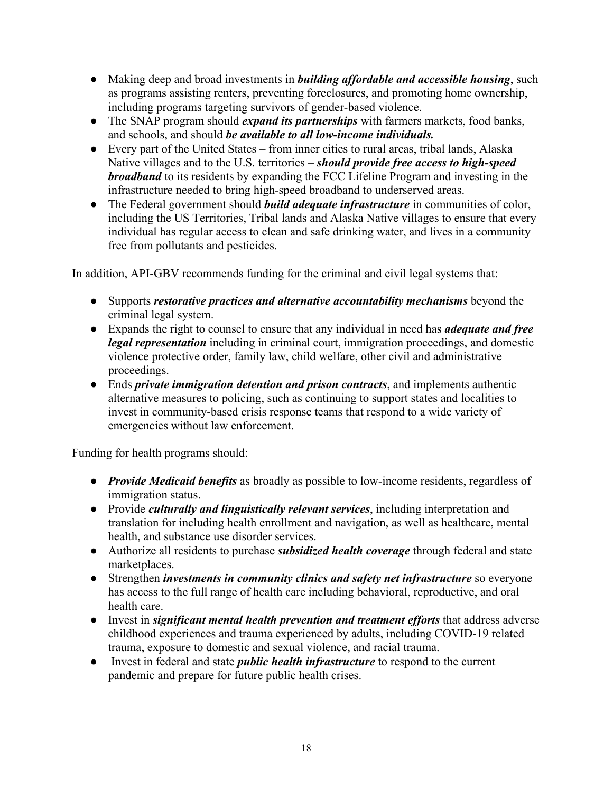- Making deep and broad investments in *building affordable and accessible housing*, such as programs assisting renters, preventing foreclosures, and promoting home ownership, including programs targeting survivors of gender-based violence.
- The SNAP program should *expand its partnerships* with farmers markets, food banks, and schools, and should *be available to all low-income individuals.*
- Every part of the United States from inner cities to rural areas, tribal lands, Alaska Native villages and to the U.S. territories – *should provide free access to high-speed broadband* to its residents by expanding the FCC Lifeline Program and investing in the infrastructure needed to bring high-speed broadband to underserved areas.
- The Federal government should *build adequate infrastructure* in communities of color, including the US Territories, Tribal lands and Alaska Native villages to ensure that every individual has regular access to clean and safe drinking water, and lives in a community free from pollutants and pesticides.

In addition, API-GBV recommends funding for the criminal and civil legal systems that:

- Supports *restorative practices and alternative accountability mechanisms* beyond the criminal legal system.
- Expands the right to counsel to ensure that any individual in need has *adequate and free legal representation* including in criminal court, immigration proceedings, and domestic violence protective order, family law, child welfare, other civil and administrative proceedings.
- Ends *private immigration detention and prison contracts*, and implements authentic alternative measures to policing, such as continuing to support states and localities to invest in community-based crisis response teams that respond to a wide variety of emergencies without law enforcement.

Funding for health programs should:

- *Provide Medicaid benefits* as broadly as possible to low-income residents, regardless of immigration status.
- Provide *culturally and linguistically relevant services*, including interpretation and translation for including health enrollment and navigation, as well as healthcare, mental health, and substance use disorder services.
- Authorize all residents to purchase *subsidized health coverage* through federal and state marketplaces.
- Strengthen *investments in community clinics and safety net infrastructure* so everyone has access to the full range of health care including behavioral, reproductive, and oral health care.
- Invest in *significant mental health prevention and treatment efforts* that address adverse childhood experiences and trauma experienced by adults, including COVID-19 related trauma, exposure to domestic and sexual violence, and racial trauma.
- Invest in federal and state *public health infrastructure* to respond to the current pandemic and prepare for future public health crises.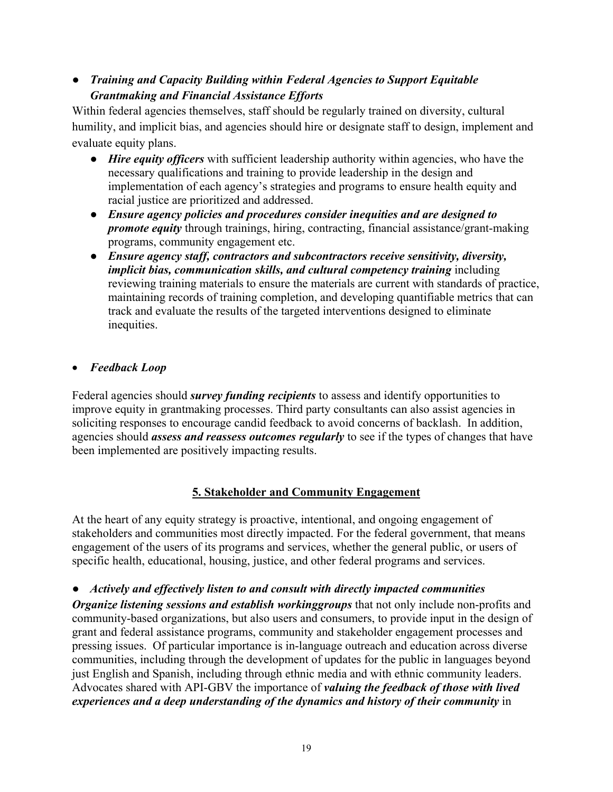# ● *Training and Capacity Building within Federal Agencies to Support Equitable Grantmaking and Financial Assistance Efforts*

Within federal agencies themselves, staff should be regularly trained on diversity, cultural humility, and implicit bias, and agencies should hire or designate staff to design, implement and evaluate equity plans.

- *Hire equity officers* with sufficient leadership authority within agencies, who have the necessary qualifications and training to provide leadership in the design and implementation of each agency's strategies and programs to ensure health equity and racial justice are prioritized and addressed.
- *Ensure agency policies and procedures consider inequities and are designed to promote equity* through trainings, hiring, contracting, financial assistance/grant-making programs, community engagement etc.
- *Ensure agency staff, contractors and subcontractors receive sensitivity, diversity, implicit bias, communication skills, and cultural competency training* including reviewing training materials to ensure the materials are current with standards of practice, maintaining records of training completion, and developing quantifiable metrics that can track and evaluate the results of the targeted interventions designed to eliminate inequities.

# • *Feedback Loop*

Federal agencies should *survey funding recipients* to assess and identify opportunities to improve equity in grantmaking processes. Third party consultants can also assist agencies in soliciting responses to encourage candid feedback to avoid concerns of backlash. In addition, agencies should *assess and reassess outcomes regularly* to see if the types of changes that have been implemented are positively impacting results.

### **5. Stakeholder and Community Engagement**

At the heart of any equity strategy is proactive, intentional, and ongoing engagement of stakeholders and communities most directly impacted. For the federal government, that means engagement of the users of its programs and services, whether the general public, or users of specific health, educational, housing, justice, and other federal programs and services.

● *Actively and effectively listen to and consult with directly impacted communities Organize listening sessions and establish workinggroups* that not only include non-profits and community-based organizations, but also users and consumers, to provide input in the design of grant and federal assistance programs, community and stakeholder engagement processes and pressing issues. Of particular importance is in-language outreach and education across diverse communities, including through the development of updates for the public in languages beyond just English and Spanish, including through ethnic media and with ethnic community leaders. Advocates shared with API-GBV the importance of *valuing the feedback of those with lived experiences and a deep understanding of the dynamics and history of their community* in